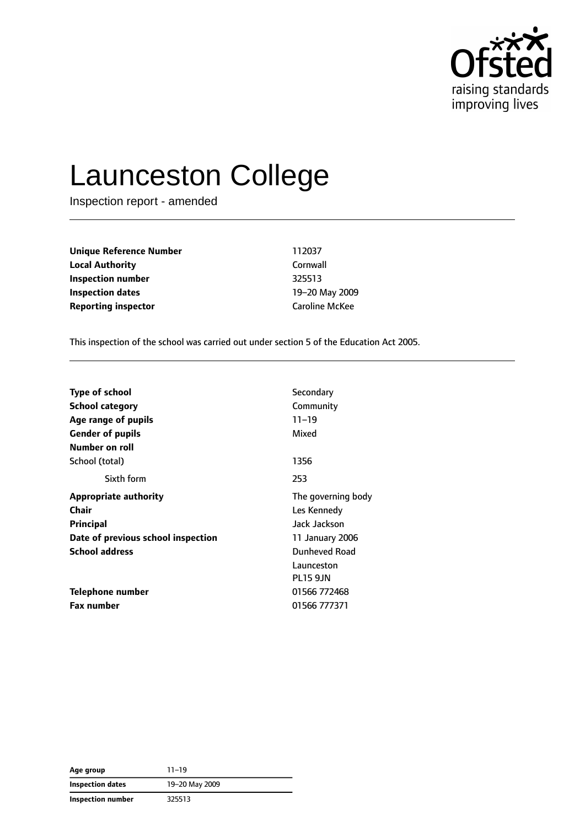

# Launceston College

Inspection report - amended

| Unique Reference Number    | 112037                |
|----------------------------|-----------------------|
| <b>Local Authority</b>     | Cornwall              |
| Inspection number          | 325513                |
| <b>Inspection dates</b>    | 19-20 May 2009        |
| <b>Reporting inspector</b> | <b>Caroline McKee</b> |
|                            |                       |

This inspection of the school was carried out under section 5 of the Education Act 2005.

| <b>Type of school</b><br>School category<br>Age range of pupils<br><b>Gender of pupils</b> | Secondary<br>Community<br>$11 - 19$<br>Mixed |
|--------------------------------------------------------------------------------------------|----------------------------------------------|
| Number on roll                                                                             |                                              |
| School (total)                                                                             | 1356                                         |
| Sixth form                                                                                 | 253                                          |
| <b>Appropriate authority</b>                                                               | The governing body                           |
| Chair                                                                                      | Les Kennedy                                  |
| <b>Principal</b>                                                                           | Jack Jackson                                 |
| Date of previous school inspection                                                         | 11 January 2006                              |
| <b>School address</b>                                                                      | Dunheved Road                                |
|                                                                                            | Launceston                                   |
|                                                                                            | <b>PL15 9JN</b>                              |
| Telephone number                                                                           | 01566 772468                                 |
| <b>Fax number</b>                                                                          | 01566 777371                                 |

| Age group         | $11 - 19$      |
|-------------------|----------------|
| Inspection dates  | 19-20 May 2009 |
| Inspection number | 325513         |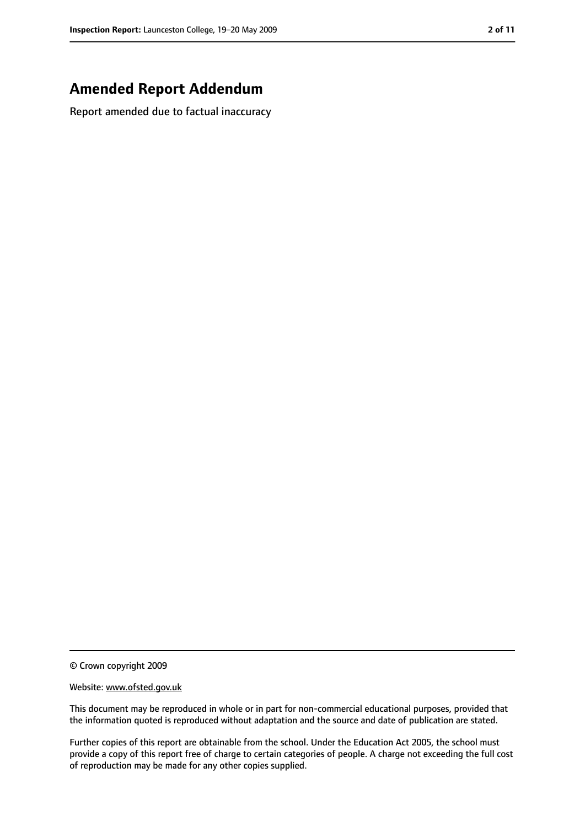# **Amended Report Addendum**

Report amended due to factual inaccuracy

© Crown copyright 2009

Website: www.ofsted.gov.uk

This document may be reproduced in whole or in part for non-commercial educational purposes, provided that the information quoted is reproduced without adaptation and the source and date of publication are stated.

Further copies of this report are obtainable from the school. Under the Education Act 2005, the school must provide a copy of this report free of charge to certain categories of people. A charge not exceeding the full cost of reproduction may be made for any other copies supplied.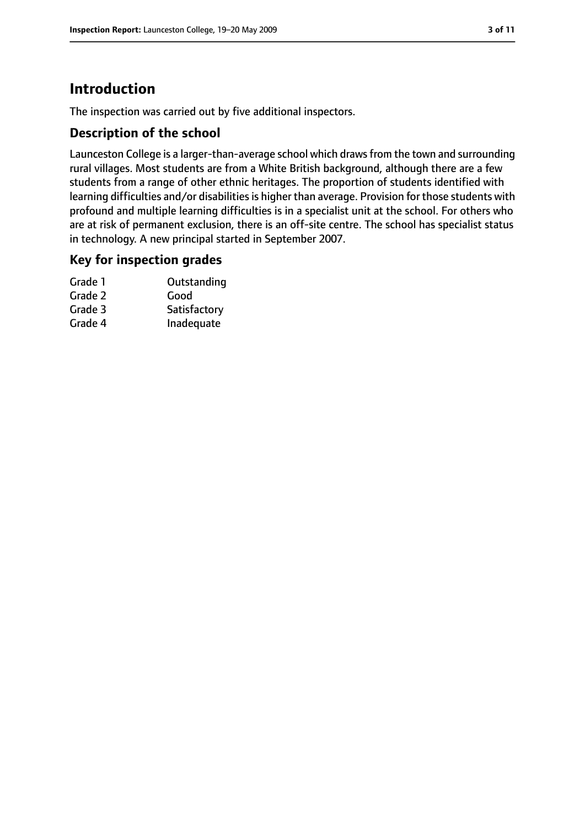# **Introduction**

The inspection was carried out by five additional inspectors.

## **Description of the school**

Launceston College is a larger-than-average school which drawsfrom the town and surrounding rural villages. Most students are from a White British background, although there are a few students from a range of other ethnic heritages. The proportion of students identified with learning difficulties and/or disabilities is higher than average. Provision for those students with profound and multiple learning difficulties is in a specialist unit at the school. For others who are at risk of permanent exclusion, there is an off-site centre. The school has specialist status in technology. A new principal started in September 2007.

## **Key for inspection grades**

| Outstanding  |
|--------------|
| Good         |
| Satisfactory |
| Inadequate   |
|              |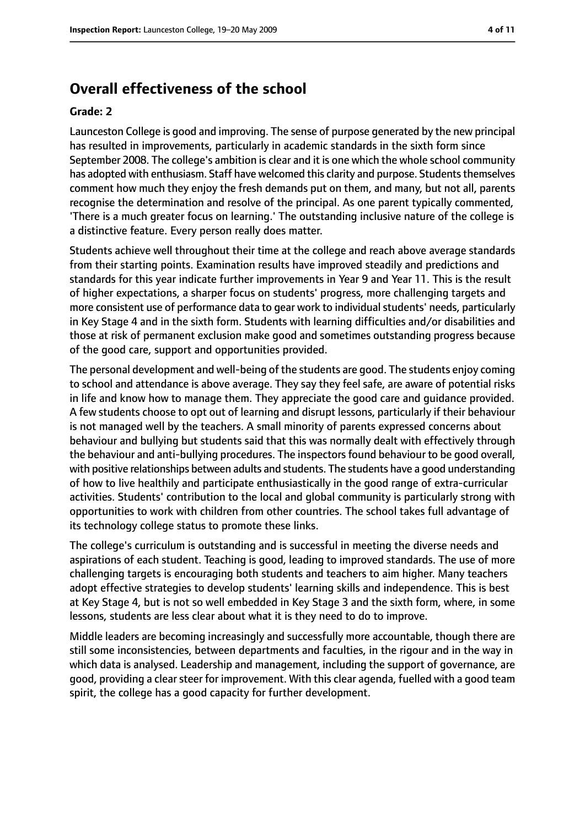# **Overall effectiveness of the school**

#### **Grade: 2**

Launceston College is good and improving. The sense of purpose generated by the new principal has resulted in improvements, particularly in academic standards in the sixth form since September 2008. The college's ambition is clear and it is one which the whole school community has adopted with enthusiasm. Staff have welcomed this clarity and purpose. Students themselves comment how much they enjoy the fresh demands put on them, and many, but not all, parents recognise the determination and resolve of the principal. As one parent typically commented, 'There is a much greater focus on learning.' The outstanding inclusive nature of the college is a distinctive feature. Every person really does matter.

Students achieve well throughout their time at the college and reach above average standards from their starting points. Examination results have improved steadily and predictions and standards for this year indicate further improvements in Year 9 and Year 11. This is the result of higher expectations, a sharper focus on students' progress, more challenging targets and more consistent use of performance data to gear work to individual students' needs, particularly in Key Stage 4 and in the sixth form. Students with learning difficulties and/or disabilities and those at risk of permanent exclusion make good and sometimes outstanding progress because of the good care, support and opportunities provided.

The personal development and well-being of the students are good. The students enjoy coming to school and attendance is above average. They say they feel safe, are aware of potential risks in life and know how to manage them. They appreciate the good care and guidance provided. A few students choose to opt out of learning and disrupt lessons, particularly if their behaviour is not managed well by the teachers. A small minority of parents expressed concerns about behaviour and bullying but students said that this was normally dealt with effectively through the behaviour and anti-bullying procedures. The inspectors found behaviour to be good overall, with positive relationships between adults and students. The students have a good understanding of how to live healthily and participate enthusiastically in the good range of extra-curricular activities. Students' contribution to the local and global community is particularly strong with opportunities to work with children from other countries. The school takes full advantage of its technology college status to promote these links.

The college's curriculum is outstanding and is successful in meeting the diverse needs and aspirations of each student. Teaching is good, leading to improved standards. The use of more challenging targets is encouraging both students and teachers to aim higher. Many teachers adopt effective strategies to develop students' learning skills and independence. This is best at Key Stage 4, but is not so well embedded in Key Stage 3 and the sixth form, where, in some lessons, students are less clear about what it is they need to do to improve.

Middle leaders are becoming increasingly and successfully more accountable, though there are still some inconsistencies, between departments and faculties, in the rigour and in the way in which data is analysed. Leadership and management, including the support of governance, are good, providing a clear steer for improvement. With this clear agenda, fuelled with a good team spirit, the college has a good capacity for further development.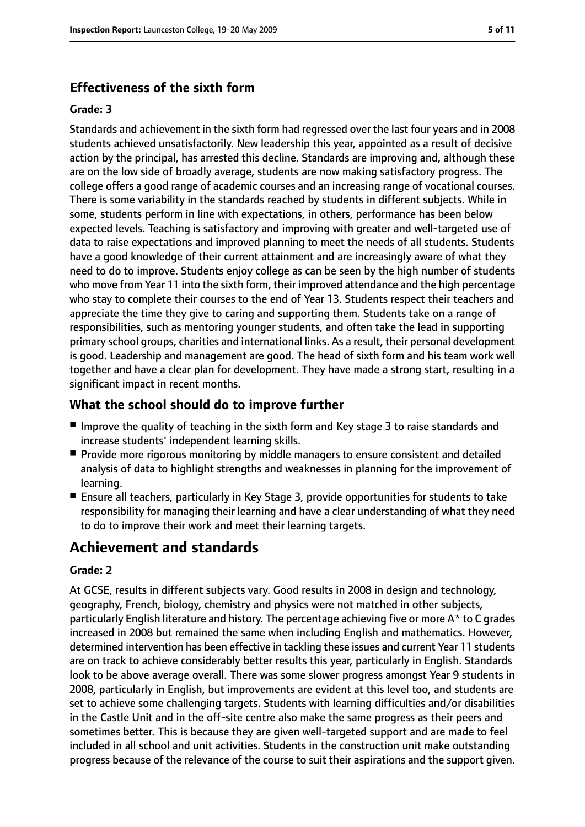# **Effectiveness of the sixth form**

#### **Grade: 3**

Standards and achievement in the sixth form had regressed over the last four years and in 2008 students achieved unsatisfactorily. New leadership this year, appointed as a result of decisive action by the principal, has arrested this decline. Standards are improving and, although these are on the low side of broadly average, students are now making satisfactory progress. The college offers a good range of academic courses and an increasing range of vocational courses. There is some variability in the standards reached by students in different subjects. While in some, students perform in line with expectations, in others, performance has been below expected levels. Teaching is satisfactory and improving with greater and well-targeted use of data to raise expectations and improved planning to meet the needs of all students. Students have a good knowledge of their current attainment and are increasingly aware of what they need to do to improve. Students enjoy college as can be seen by the high number of students who move from Year 11 into the sixth form, their improved attendance and the high percentage who stay to complete their courses to the end of Year 13. Students respect their teachers and appreciate the time they give to caring and supporting them. Students take on a range of responsibilities, such as mentoring younger students, and often take the lead in supporting primary school groups, charities and international links. As a result, their personal development is good. Leadership and management are good. The head of sixth form and his team work well together and have a clear plan for development. They have made a strong start, resulting in a significant impact in recent months.

## **What the school should do to improve further**

- Improve the quality of teaching in the sixth form and Key stage 3 to raise standards and increase students' independent learning skills.
- Provide more rigorous monitoring by middle managers to ensure consistent and detailed analysis of data to highlight strengths and weaknesses in planning for the improvement of learning.
- Ensure all teachers, particularly in Key Stage 3, provide opportunities for students to take responsibility for managing their learning and have a clear understanding of what they need to do to improve their work and meet their learning targets.

# **Achievement and standards**

#### **Grade: 2**

At GCSE, results in different subjects vary. Good results in 2008 in design and technology, geography, French, biology, chemistry and physics were not matched in other subjects, particularly English literature and history. The percentage achieving five or more A\* to C grades increased in 2008 but remained the same when including English and mathematics. However, determined intervention has been effective in tackling these issues and current Year 11 students are on track to achieve considerably better results this year, particularly in English. Standards look to be above average overall. There was some slower progress amongst Year 9 students in 2008, particularly in English, but improvements are evident at this level too, and students are set to achieve some challenging targets. Students with learning difficulties and/or disabilities in the Castle Unit and in the off-site centre also make the same progress as their peers and sometimes better. This is because they are given well-targeted support and are made to feel included in all school and unit activities. Students in the construction unit make outstanding progress because of the relevance of the course to suit their aspirations and the support given.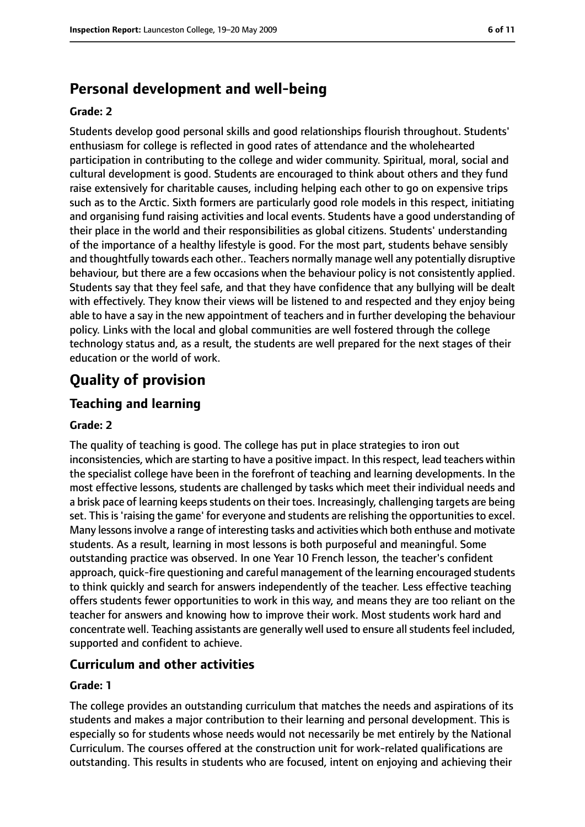# **Personal development and well-being**

#### **Grade: 2**

Students develop good personal skills and good relationships flourish throughout. Students' enthusiasm for college is reflected in good rates of attendance and the wholehearted participation in contributing to the college and wider community. Spiritual, moral, social and cultural development is good. Students are encouraged to think about others and they fund raise extensively for charitable causes, including helping each other to go on expensive trips such as to the Arctic. Sixth formers are particularly good role models in this respect, initiating and organising fund raising activities and local events. Students have a good understanding of their place in the world and their responsibilities as global citizens. Students' understanding of the importance of a healthy lifestyle is good. For the most part, students behave sensibly and thoughtfully towards each other.. Teachers normally manage well any potentially disruptive behaviour, but there are a few occasions when the behaviour policy is not consistently applied. Students say that they feel safe, and that they have confidence that any bullying will be dealt with effectively. They know their views will be listened to and respected and they enjoy being able to have a say in the new appointment of teachers and in further developing the behaviour policy. Links with the local and global communities are well fostered through the college technology status and, as a result, the students are well prepared for the next stages of their education or the world of work.

# **Quality of provision**

# **Teaching and learning**

#### **Grade: 2**

The quality of teaching is good. The college has put in place strategies to iron out inconsistencies, which are starting to have a positive impact. In this respect, lead teachers within the specialist college have been in the forefront of teaching and learning developments. In the most effective lessons, students are challenged by tasks which meet their individual needs and a brisk pace of learning keeps students on their toes. Increasingly, challenging targets are being set. This is 'raising the game' for everyone and students are relishing the opportunities to excel. Many lessons involve a range of interesting tasks and activities which both enthuse and motivate students. As a result, learning in most lessons is both purposeful and meaningful. Some outstanding practice was observed. In one Year 10 French lesson, the teacher's confident approach, quick-fire questioning and careful management of the learning encouraged students to think quickly and search for answers independently of the teacher. Less effective teaching offers students fewer opportunities to work in this way, and means they are too reliant on the teacher for answers and knowing how to improve their work. Most students work hard and concentrate well. Teaching assistants are generally well used to ensure all students feel included, supported and confident to achieve.

## **Curriculum and other activities**

#### **Grade: 1**

The college provides an outstanding curriculum that matches the needs and aspirations of its students and makes a major contribution to their learning and personal development. This is especially so for students whose needs would not necessarily be met entirely by the National Curriculum. The courses offered at the construction unit for work-related qualifications are outstanding. This results in students who are focused, intent on enjoying and achieving their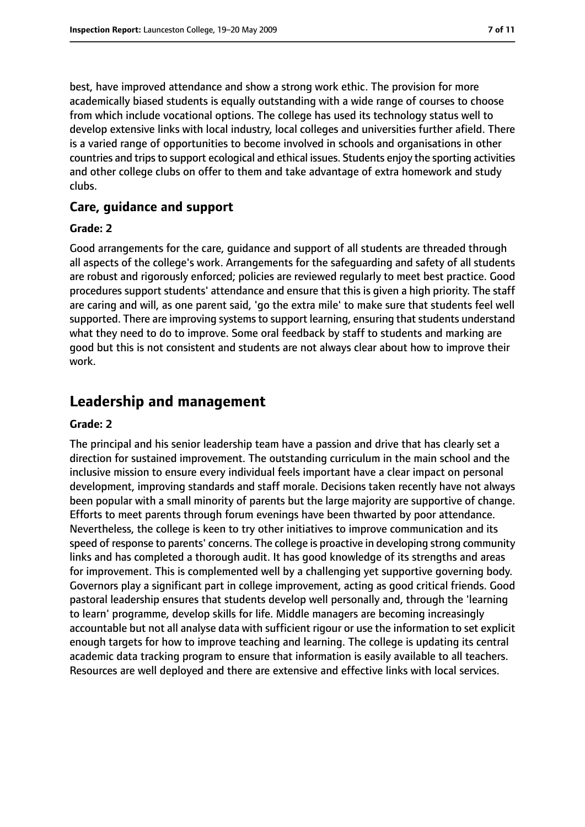best, have improved attendance and show a strong work ethic. The provision for more academically biased students is equally outstanding with a wide range of courses to choose from which include vocational options. The college has used its technology status well to develop extensive links with local industry, local colleges and universities further afield. There is a varied range of opportunities to become involved in schools and organisations in other countries and trips to support ecological and ethical issues. Students enjoy the sporting activities and other college clubs on offer to them and take advantage of extra homework and study clubs.

## **Care, guidance and support**

#### **Grade: 2**

Good arrangements for the care, guidance and support of all students are threaded through all aspects of the college's work. Arrangements for the safeguarding and safety of all students are robust and rigorously enforced; policies are reviewed regularly to meet best practice. Good procedures support students' attendance and ensure that this is given a high priority. The staff are caring and will, as one parent said, 'go the extra mile' to make sure that students feel well supported. There are improving systems to support learning, ensuring that students understand what they need to do to improve. Some oral feedback by staff to students and marking are good but this is not consistent and students are not always clear about how to improve their work.

# **Leadership and management**

#### **Grade: 2**

The principal and his senior leadership team have a passion and drive that has clearly set a direction for sustained improvement. The outstanding curriculum in the main school and the inclusive mission to ensure every individual feels important have a clear impact on personal development, improving standards and staff morale. Decisions taken recently have not always been popular with a small minority of parents but the large majority are supportive of change. Efforts to meet parents through forum evenings have been thwarted by poor attendance. Nevertheless, the college is keen to try other initiatives to improve communication and its speed of response to parents' concerns. The college is proactive in developing strong community links and has completed a thorough audit. It has good knowledge of its strengths and areas for improvement. This is complemented well by a challenging yet supportive governing body. Governors play a significant part in college improvement, acting as good critical friends. Good pastoral leadership ensures that students develop well personally and, through the 'learning to learn' programme, develop skills for life. Middle managers are becoming increasingly accountable but not all analyse data with sufficient rigour or use the information to set explicit enough targets for how to improve teaching and learning. The college is updating its central academic data tracking program to ensure that information is easily available to all teachers. Resources are well deployed and there are extensive and effective links with local services.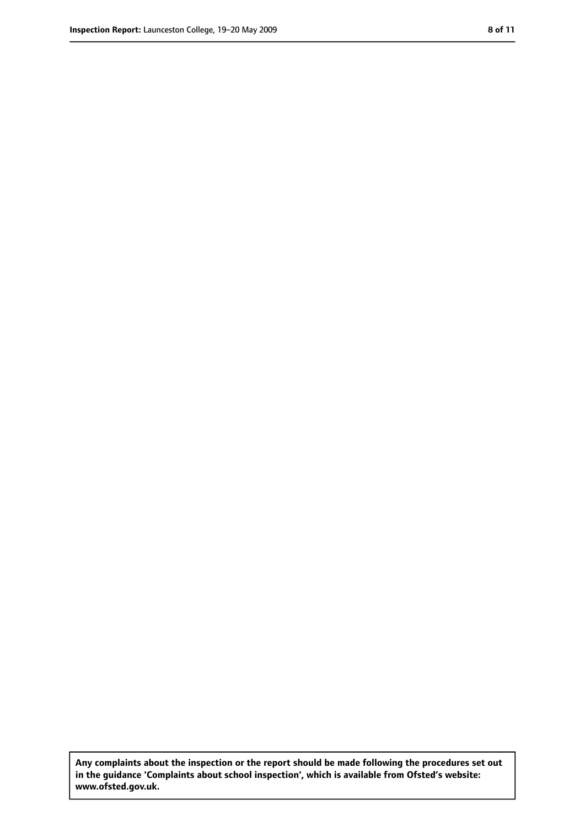**Any complaints about the inspection or the report should be made following the procedures set out in the guidance 'Complaints about school inspection', which is available from Ofsted's website: www.ofsted.gov.uk.**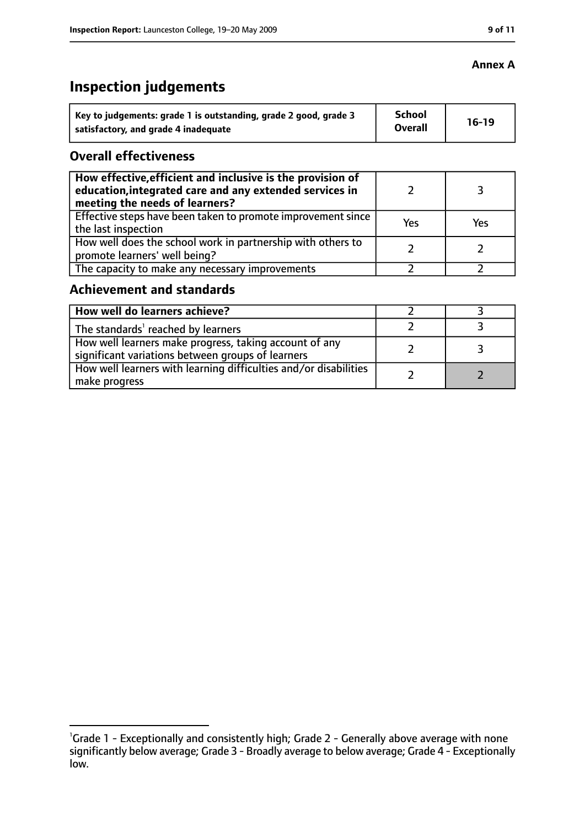# **Inspection judgements**

| Key to judgements: grade 1 is outstanding, grade 2 good, grade 3 | School         | $16-19$ |
|------------------------------------------------------------------|----------------|---------|
| satisfactory, and grade 4 inadequate                             | <b>Overall</b> |         |

## **Overall effectiveness**

| How effective, efficient and inclusive is the provision of<br>education, integrated care and any extended services in<br>meeting the needs of learners? |     |     |
|---------------------------------------------------------------------------------------------------------------------------------------------------------|-----|-----|
| Effective steps have been taken to promote improvement since<br>the last inspection                                                                     | Yes | Yes |
| How well does the school work in partnership with others to<br>promote learners' well being?                                                            |     |     |
| The capacity to make any necessary improvements                                                                                                         |     |     |

# **Achievement and standards**

| How well do learners achieve?                                                                               |  |
|-------------------------------------------------------------------------------------------------------------|--|
| The standards <sup>1</sup> reached by learners                                                              |  |
| How well learners make progress, taking account of any<br>significant variations between groups of learners |  |
| How well learners with learning difficulties and/or disabilities<br>make progress                           |  |

## **Annex A**

<sup>&</sup>lt;sup>1</sup>Grade 1 - Exceptionally and consistently high; Grade 2 - Generally above average with none significantly below average; Grade 3 - Broadly average to below average; Grade 4 - Exceptionally low.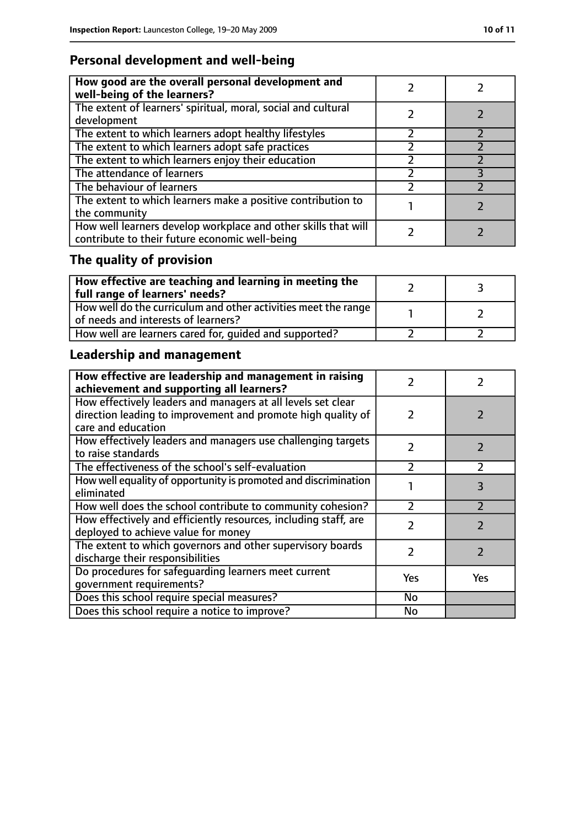# **Personal development and well-being**

| How good are the overall personal development and<br>well-being of the learners?                                 |  |
|------------------------------------------------------------------------------------------------------------------|--|
| The extent of learners' spiritual, moral, social and cultural<br>development                                     |  |
| The extent to which learners adopt healthy lifestyles                                                            |  |
| The extent to which learners adopt safe practices                                                                |  |
| The extent to which learners enjoy their education                                                               |  |
| The attendance of learners                                                                                       |  |
| The behaviour of learners                                                                                        |  |
| The extent to which learners make a positive contribution to<br>the community                                    |  |
| How well learners develop workplace and other skills that will<br>contribute to their future economic well-being |  |

# **The quality of provision**

| $\mid$ How effective are teaching and learning in meeting the<br>full range of learners' needs?       |  |
|-------------------------------------------------------------------------------------------------------|--|
| How well do the curriculum and other activities meet the range<br>of needs and interests of learners? |  |
| How well are learners cared for, quided and supported?                                                |  |

# **Leadership and management**

| How effective are leadership and management in raising<br>achievement and supporting all learners?                                                 |               |                          |
|----------------------------------------------------------------------------------------------------------------------------------------------------|---------------|--------------------------|
| How effectively leaders and managers at all levels set clear<br>direction leading to improvement and promote high quality of<br>care and education | 2             |                          |
| How effectively leaders and managers use challenging targets<br>to raise standards                                                                 | $\mathcal{P}$ |                          |
| The effectiveness of the school's self-evaluation                                                                                                  | 2             | $\mathcal{P}$            |
| How well equality of opportunity is promoted and discrimination<br>eliminated                                                                      |               | 3                        |
| How well does the school contribute to community cohesion?                                                                                         | $\mathcal{P}$ |                          |
| How effectively and efficiently resources, including staff, are<br>deployed to achieve value for money                                             | $\mathcal{P}$ | $\overline{\phantom{a}}$ |
| The extent to which governors and other supervisory boards<br>discharge their responsibilities                                                     | $\mathcal{P}$ | 7                        |
| Do procedures for safeguarding learners meet current<br>qovernment requirements?                                                                   | Yes           | <b>Yes</b>               |
| Does this school require special measures?                                                                                                         | No            |                          |
| Does this school require a notice to improve?                                                                                                      | No            |                          |